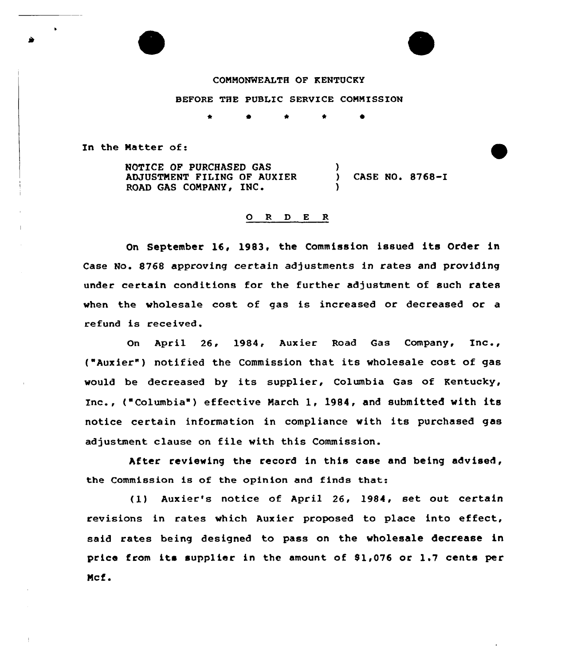# COMMONWEALTH OF KENTUCKY

# BEFORE THE PUBLIC SERVICE COMMISSION

In the Natter of:

×

NOTICE OF PURCHASED GAS ADJUSTMENT FILING OF AUXIER ROAD GAS COMPANY, INC.  $\left\{ \right\}$ CASE NO. 8768-I )

#### 0 <sup>R</sup> <sup>D</sup> E R

On September 16, 1983, the Commission issued its Order in Case No. 8768 approving certain adjustments in rates and providing under certain conditions for the further adjustment of such rates when the wholesale cost of gas is increased or decreased or a refund is received.

On April 26, 1984, Auxier Road Gas Company, Inc., ( Auxier") notified the Commission that its wholesale cost of gas would be decreased by its supplier, Columbia Gas of Kentucky, Inc., ("Columbia" ) effective March 1, 1984, and submitted with its notice certain information in compliance with its purchased gas adjustment clause on file with this Commission.

After reviewing the record in this case and being advised, the Commission is of the opinion and finds that:

(1) Auxier's notice of April 26, 1984, set out certain revisions in rates which Auxier proposed to place into effect, said rates being designed to pass on the wholesale decrease in price from its supplier in the amount of 81,076 or 1.7 cents per Mcf.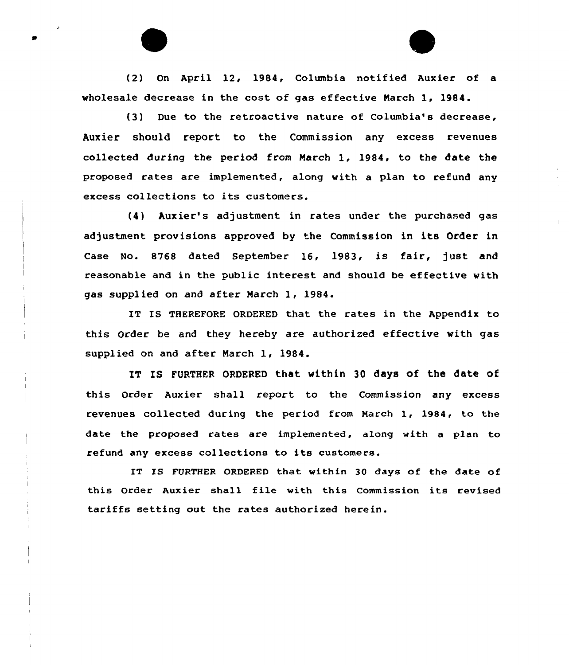(2) On April 12, 1984, Columbia notified Auxier of a wholesale decrease in the cost of gas effective Narch 1, 1984.

(3) Due to the retroactive nature of Columbia's decrease, Auxier should report to the Commission any excess revenues collected during the period from Narch 1, 1984, to the date the proposed rates are implemented, along with a plan to refund any excess collections to its customers.

(4) Auxier's adjustment in rates under the purchased gas adjustment provisions approved by the Commission in its Order in Case No. 8768 dated September 16, 1983, is fair, just and reasonable and in the public interest. and should be effective with gas supplied on and after Narch 1, 1984.

IT IS THEREFORE ORDERED that the rates in the Appendix to this Order be and they hereby are authorized effective with gas supplied on and after Narch 1, 1984.

IT IS FURTHER ORDERED that within 30 days of the date of this Order Auxier shall report to the Commission any excess revenues collected during the period from March 1, 1984, to the date the proposed rates are implemented, along with a plan to refund any excess collections to its customers.

IT IS FURTHER ORDERED that within 30 days of the date of this Order Auxier shall file with this Commission its revised tariffs setting out the rates authorized herein.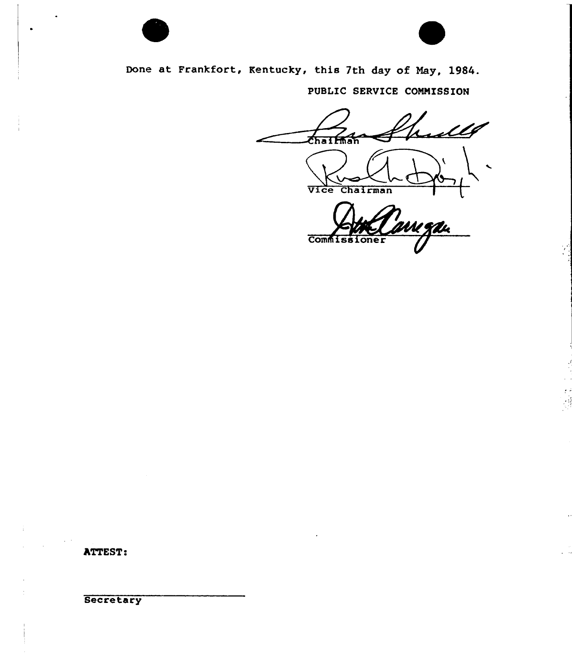

Done at Frankfort, Kentucky, thi8 7th day of Nay, 1984.

PUBLIC SERVICE CONNISSION

ullf **Chaifman** vice Chairman UU JAL **Commissioner** 

Ţ.

ATTEST:

**Secretary**